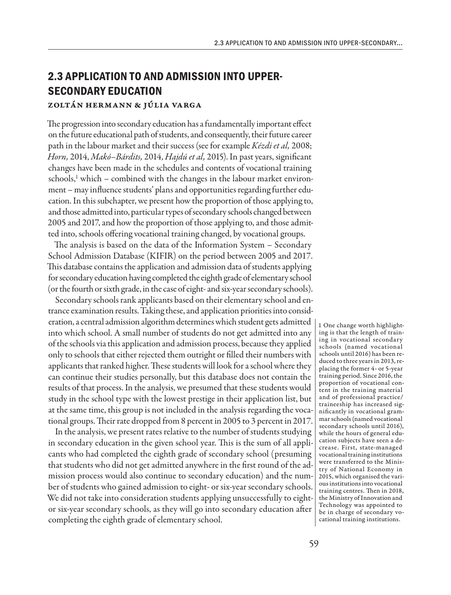# **2.3 APPLICATION TO AND ADMISSION INTO UPPER-SECONDARY EDUCATION**

## Zoltán Hermann & Júlia Varga

The progression into secondary education has a fundamentally important effect on the future educational path of students, and consequently, their future career path in the labour market and their success (see for example *Kézdi et al,* 2008; *Horn,* 2014, *Makó–Bárdits,* 2014, *Hajdú et al,* 2015). In past years, significant changes have been made in the schedules and contents of vocational training schools,<sup>1</sup> which – combined with the changes in the labour market environment – may influence students' plans and opportunities regarding further education. In this subchapter, we present how the proportion of those applying to, and those admitted into, particular types of secondary schools changed between 2005 and 2017, and how the proportion of those applying to, and those admitted into, schools offering vocational training changed, by vocational groups.

The analysis is based on the data of the Information System – Secondary School Admission Database (KIFIR) on the period between 2005 and 2017. This database contains the application and admission data of students applying for secondary education having completed the eighth grade of elementary school (or the fourth or sixth grade, in the case of eight- and six-year secondary schools).

Secondary schools rank applicants based on their elementary school and entrance examination results. Taking these, and application priorities into consideration, a central admission algorithm determines which student gets admitted into which school. A small number of students do not get admitted into any of the schools via this application and admission process, because they applied only to schools that either rejected them outright or filled their numbers with applicants that ranked higher. These students will look for a school where they can continue their studies personally, but this database does not contain the results of that process. In the analysis, we presumed that these students would study in the school type with the lowest prestige in their application list, but at the same time, this group is not included in the analysis regarding the vocational groups. Their rate dropped from 8 percent in 2005 to 3 percent in 2017.

In the analysis, we present rates relative to the number of students studying in secondary education in the given school year. This is the sum of all applicants who had completed the eighth grade of secondary school (presuming that students who did not get admitted anywhere in the first round of the admission process would also continue to secondary education) and the number of students who gained admission to eight- or six-year secondary schools. We did not take into consideration students applying unsuccessfully to eightor six-year secondary schools, as they will go into secondary education after completing the eighth grade of elementary school.

1 One change worth highlighting is that the length of training in vocational secondary schools (named vocational schools until 2016) has been reduced to three years in 2013, replacing the former 4- or 5-year training period. Since 2016, the proportion of vocational content in the training material and of professional practice/ traineeship has increased significantly in vocational grammar schools (named vocational secondary schools until 2016), while the hours of general education subjects have seen a decrease. First, state-managed vocational training institutions were transferred to the Ministry of National Economy in 2015, which organised the various institutions into vocational training centres. Then in 2018, the Ministry of Innovation and Technology was appointed to be in charge of secondary vocational training institutions.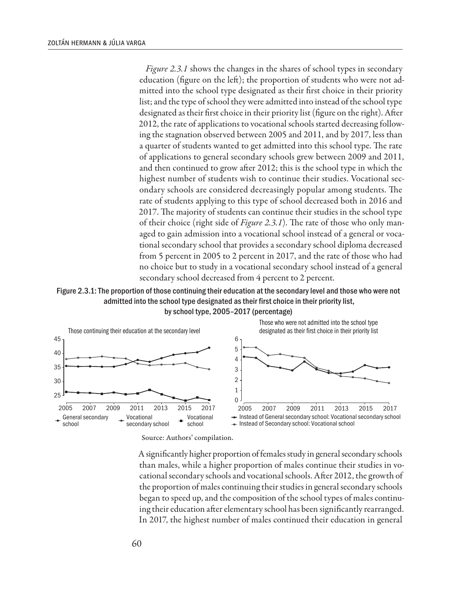*Figure 2.3.1* shows the changes in the shares of school types in secondary education (figure on the left); the proportion of students who were not admitted into the school type designated as their first choice in their priority list; and the type of school they were admitted into instead of the school type designated as their first choice in their priority list (figure on the right). After 2012, the rate of applications to vocational schools started decreasing following the stagnation observed between 2005 and 2011, and by 2017, less than a quarter of students wanted to get admitted into this school type. The rate of applications to general secondary schools grew between 2009 and 2011, and then continued to grow after 2012; this is the school type in which the highest number of students wish to continue their studies. Vocational secondary schools are considered decreasingly popular among students. The rate of students applying to this type of school decreased both in 2016 and 2017. The majority of students can continue their studies in the school type of their choice (right side of *Figure 2.3.1*). The rate of those who only managed to gain admission into a vocational school instead of a general or vocational secondary school that provides a secondary school diploma decreased from 5 percent in 2005 to 2 percent in 2017, and the rate of those who had no choice but to study in a vocational secondary school instead of a general secondary school decreased from 4 percent to 2 percent.

Figure 2.3.1: The proportion of those continuing their education at the secondary level and those who were not admitted into the school type designated as their first choice in their priority list, by school type, 2005–2017 (percentage)



Source: Authors' compilation.

A significantly higher proportion of females study in general secondary schools than males, while a higher proportion of males continue their studies in vocational secondary schools and vocational schools. After 2012, the growth of the proportion of males continuing their studies in general secondary schools began to speed up, and the composition of the school types of males continuing their education after elementary school has been significantly rearranged. In 2017, the highest number of males continued their education in general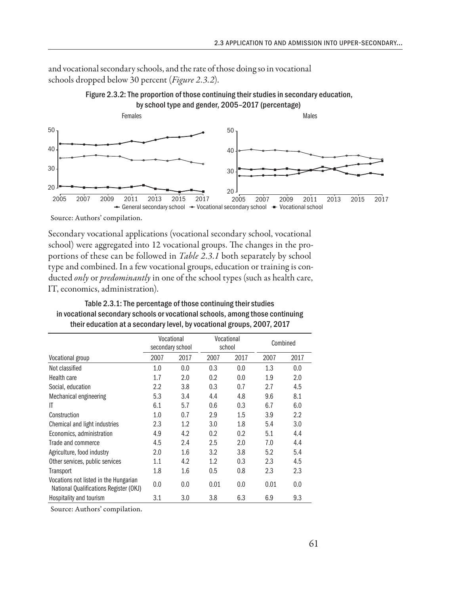and vocational secondary schools, and the rate of those doing so in vocational schools dropped below 30 percent (*Figure 2.3.2*).



Figure 2.3.2: The proportion of those continuing their studies in secondary education,

Source: Authors' compilation.

Secondary vocational applications (vocational secondary school, vocational school) were aggregated into 12 vocational groups. The changes in the proportions of these can be followed in *Table 2.3.1* both separately by school type and combined. In a few vocational groups, education or training is conducted *only* or *predominantly* in one of the school types (such as health care, IT, economics, administration).

|                                                                                 | Vocational<br>secondary school |      | Vocational<br>school |      | Combined |      |
|---------------------------------------------------------------------------------|--------------------------------|------|----------------------|------|----------|------|
| Vocational group                                                                | 2007                           | 2017 | 2007                 | 2017 | 2007     | 2017 |
| Not classified                                                                  | 1.0                            | 0.0  | 0.3                  | 0.0  | 1.3      | 0.0  |
| Health care                                                                     | 1.7                            | 2.0  | 0.2                  | 0.0  | 1.9      | 2.0  |
| Social, education                                                               | 2.2                            | 3.8  | 0.3                  | 0.7  | 2.7      | 4.5  |
| Mechanical engineering                                                          | 5.3                            | 3.4  | 4.4                  | 4.8  | 9.6      | 8.1  |
| IT                                                                              | 6.1                            | 5.7  | 0.6                  | 0.3  | 6.7      | 6.0  |
| Construction                                                                    | 1.0                            | 0.7  | 2.9                  | 1.5  | 3.9      | 2.2  |
| Chemical and light industries                                                   | 2.3                            | 1.2  | 3.0                  | 1.8  | 5.4      | 3.0  |
| Economics, administration                                                       | 4.9                            | 4.2  | 0.2                  | 0.2  | 5.1      | 4.4  |
| Trade and commerce                                                              | 4.5                            | 2.4  | 2.5                  | 2.0  | 7.0      | 4.4  |
| Agriculture, food industry                                                      | 2.0                            | 1.6  | 3.2                  | 3.8  | 5.2      | 5.4  |
| Other services, public services                                                 | 1.1                            | 4.2  | 1.2                  | 0.3  | 2.3      | 4.5  |
| Transport                                                                       | 1.8                            | 1.6  | 0.5                  | 0.8  | 2.3      | 2.3  |
| Vocations not listed in the Hungarian<br>National Qualifications Register (OKJ) | 0.0                            | 0.0  | 0.01                 | 0.0  | 0.01     | 0.0  |
| Hospitality and tourism                                                         | 3.1                            | 3.0  | 3.8                  | 6.3  | 6.9      | 9.3  |

Table 2.3.1: The percentage of those continuing their studies in vocational secondary schools or vocational schools, among those continuing their education at a secondary level, by vocational groups, 2007, 2017

Source: Authors' compilation.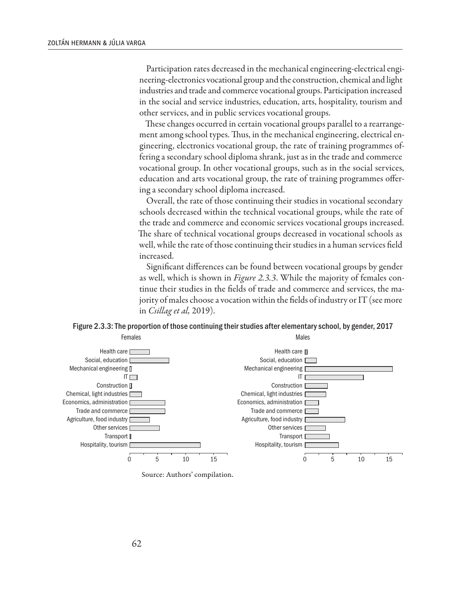Participation rates decreased in the mechanical engineering-electrical engineering-electronics vocational group and the construction, chemical and light industries and trade and commerce vocational groups. Participation increased in the social and service industries, education, arts, hospitality, tourism and other services, and in public services vocational groups.

These changes occurred in certain vocational groups parallel to a rearrangement among school types. Thus, in the mechanical engineering, electrical engineering, electronics vocational group, the rate of training programmes offering a secondary school diploma shrank, just as in the trade and commerce vocational group. In other vocational groups, such as in the social services, education and arts vocational group, the rate of training programmes offering a secondary school diploma increased.

Overall, the rate of those continuing their studies in vocational secondary schools decreased within the technical vocational groups, while the rate of the trade and commerce and economic services vocational groups increased. The share of technical vocational groups decreased in vocational schools as well, while the rate of those continuing their studies in a human services field increased.

Significant differences can be found between vocational groups by gender as well, which is shown in *Figure 2.3.3*. While the majority of females continue their studies in the fields of trade and commerce and services, the majority of males choose a vocation within the fields of industry or IT (see more in *Csillag et al,* 2019).

### Figure 2.3.3: The proportion of those continuing their studies after elementary school, by gender, 2017



#### Source: Authors' compilation.